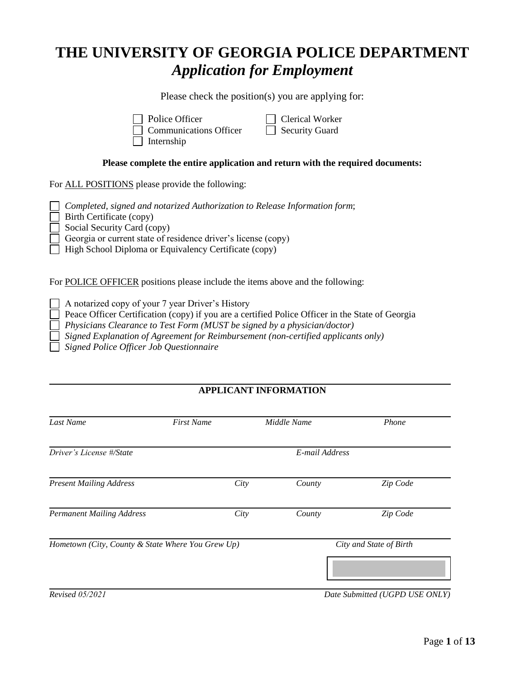# **THE UNIVERSITY OF GEORGIA POLICE DEPARTMENT**  *Application for Employment*

Please check the position(s) you are applying for:

Police Officer **Clerical Worker** 

Communications Officer  $\Box$  Security Guard  $\Box$  Internship

#### **Please complete the entire application and return with the required documents:**

For ALL POSITIONS please provide the following:

*Completed, signed and notarized Authorization to Release Information form*;

Birth Certificate (copy)

Social Security Card (copy)

Georgia or current state of residence driver's license (copy)

 $\Box$  High School Diploma or Equivalency Certificate (copy)

For POLICE OFFICER positions please include the items above and the following:

A notarized copy of your 7 year Driver's History

Peace Officer Certification (copy) if you are a certified Police Officer in the State of Georgia

*Physicians Clearance to Test Form (MUST be signed by a physician/doctor)*

 *Signed Explanation of Agreement for Reimbursement (non-certified applicants only)*

 *Signed Police Officer Job Questionnaire*

# **APPLICANT INFORMATION**

| Last Name                                         | <b>First Name</b> | Middle Name    | Phone                          |
|---------------------------------------------------|-------------------|----------------|--------------------------------|
| Driver's License #/State                          |                   | E-mail Address |                                |
| <b>Present Mailing Address</b>                    | City              | County         | Zip Code                       |
| <b>Permanent Mailing Address</b>                  | City              | County         | Zip Code                       |
| Hometown (City, County & State Where You Grew Up) |                   |                | City and State of Birth        |
|                                                   |                   |                |                                |
| <b>Revised 05/2021</b>                            |                   |                | Date Submitted (UGPD USE ONLY) |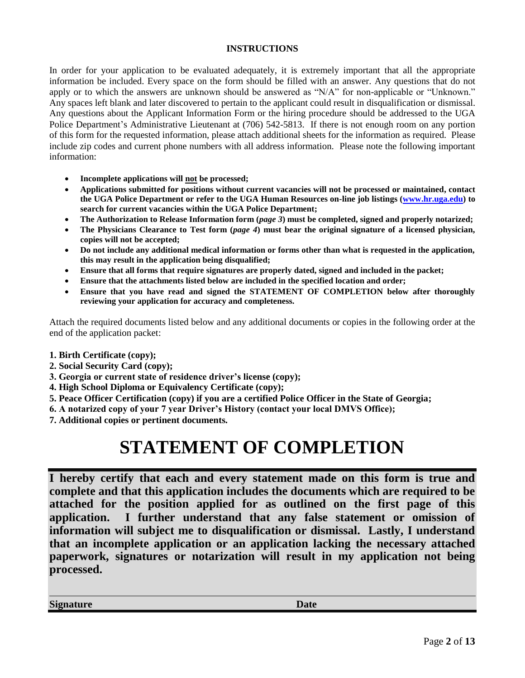#### **INSTRUCTIONS**

In order for your application to be evaluated adequately, it is extremely important that all the appropriate information be included. Every space on the form should be filled with an answer. Any questions that do not apply or to which the answers are unknown should be answered as "N/A" for non-applicable or "Unknown." Any spaces left blank and later discovered to pertain to the applicant could result in disqualification or dismissal. Any questions about the Applicant Information Form or the hiring procedure should be addressed to the UGA Police Department's Administrative Lieutenant at (706) 542-5813. If there is not enough room on any portion of this form for the requested information, please attach additional sheets for the information as required. Please include zip codes and current phone numbers with all address information. Please note the following important information:

- **Incomplete applications will not be processed;**
- **Applications submitted for positions without current vacancies will not be processed or maintained, contact the UGA Police Department or refer to the UGA Human Resources on-line job listings [\(www.hr.uga.edu\)](http://www.hr.uga.edu/) to search for current vacancies within the UGA Police Department;**
- The Authorization to Release Information form (*page 3*) must be completed, signed and properly notarized;
- **The Physicians Clearance to Test form (***page 4***) must bear the original signature of a licensed physician, copies will not be accepted;**
- **Do not include any additional medical information or forms other than what is requested in the application, this may result in the application being disqualified;**
- **Ensure that all forms that require signatures are properly dated, signed and included in the packet;**
- **Ensure that the attachments listed below are included in the specified location and order;**
- **Ensure that you have read and signed the STATEMENT OF COMPLETION below after thoroughly reviewing your application for accuracy and completeness.**

Attach the required documents listed below and any additional documents or copies in the following order at the end of the application packet:

- **1. Birth Certificate (copy);**
- **2. Social Security Card (copy);**
- **3. Georgia or current state of residence driver's license (copy);**
- **4. High School Diploma or Equivalency Certificate (copy);**
- **5. Peace Officer Certification (copy) if you are a certified Police Officer in the State of Georgia;**
- **6. A notarized copy of your 7 year Driver's History (contact your local DMVS Office);**
- **7. Additional copies or pertinent documents.**

# **STATEMENT OF COMPLETION**

**I hereby certify that each and every statement made on this form is true and complete and that this application includes the documents which are required to be attached for the position applied for as outlined on the first page of this application. I further understand that any false statement or omission of information will subject me to disqualification or dismissal. Lastly, I understand that an incomplete application or an application lacking the necessary attached paperwork, signatures or notarization will result in my application not being processed.**

**Signature Date**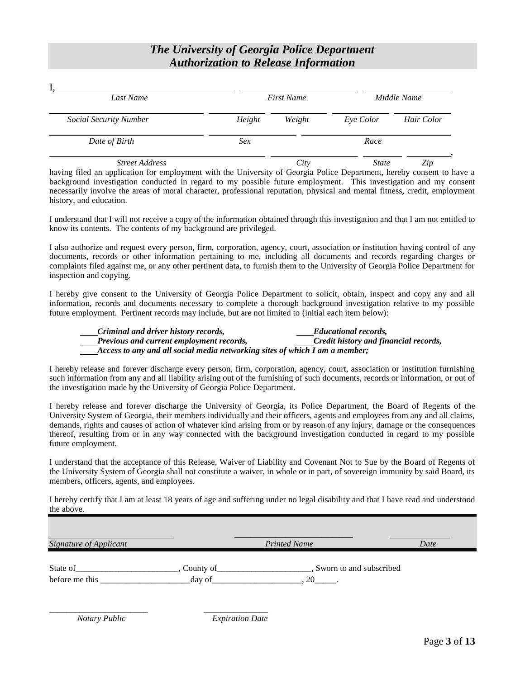# *The University of Georgia Police Department Authorization to Release Information*

| Last Name                     |        | <b>First Name</b> |              | Middle Name |
|-------------------------------|--------|-------------------|--------------|-------------|
| <b>Social Security Number</b> | Height | Weight            | Eye Color    | Hair Color  |
| Date of Birth                 | Sex    |                   | Race         |             |
| <b>Street Address</b>         |        | City              | <b>State</b> | Zip         |

having filed an application for employment with the University of Georgia Police Department, hereby consent to have a background investigation conducted in regard to my possible future employment. This investigation and my consent necessarily involve the areas of moral character, professional reputation, physical and mental fitness, credit, employment history, and education.

I understand that I will not receive a copy of the information obtained through this investigation and that I am not entitled to know its contents. The contents of my background are privileged.

I also authorize and request every person, firm, corporation, agency, court, association or institution having control of any documents, records or other information pertaining to me, including all documents and records regarding charges or complaints filed against me, or any other pertinent data, to furnish them to the University of Georgia Police Department for inspection and copying.

I hereby give consent to the University of Georgia Police Department to solicit, obtain, inspect and copy any and all information, records and documents necessary to complete a thorough background investigation relative to my possible future employment. Pertinent records may include, but are not limited to (initial each item below):

*Criminal and driver history records, Educational records, Previous and current employment records, Credit history and financial records, Access to any and all social media networking sites of which I am a member;*

I hereby release and forever discharge every person, firm, corporation, agency, court, association or institution furnishing such information from any and all liability arising out of the furnishing of such documents, records or information, or out of the investigation made by the University of Georgia Police Department.

I hereby release and forever discharge the University of Georgia, its Police Department, the Board of Regents of the University System of Georgia, their members individually and their officers, agents and employees from any and all claims, demands, rights and causes of action of whatever kind arising from or by reason of any injury, damage or the consequences thereof, resulting from or in any way connected with the background investigation conducted in regard to my possible future employment.

I understand that the acceptance of this Release, Waiver of Liability and Covenant Not to Sue by the Board of Regents of the University System of Georgia shall not constitute a waiver, in whole or in part, of sovereign immunity by said Board, its members, officers, agents, and employees.

I hereby certify that I am at least 18 years of age and suffering under no legal disability and that I have read and understood the above.

| Signature of Applicant     |                      | <b>Printed Name</b>     | Date |
|----------------------------|----------------------|-------------------------|------|
| State of<br>before me this | County of_<br>day of | Sworn to and subscribed |      |

\_\_\_\_\_\_\_\_\_\_\_\_\_\_\_\_\_\_\_\_\_\_\_ \_\_\_\_\_\_\_\_\_\_\_\_\_\_\_

 *Notary Public Expiration Date*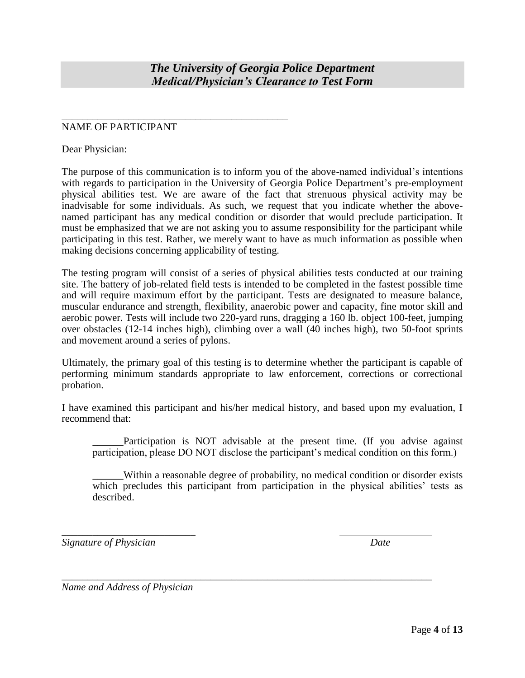*The University of Georgia Police Department Medical/Physician's Clearance to Test Form*

### NAME OF PARTICIPANT

\_\_\_\_\_\_\_\_\_\_\_\_\_\_\_\_\_\_\_\_\_\_\_\_\_\_\_\_\_\_\_\_\_\_\_\_\_\_\_\_\_\_\_\_

Dear Physician:

The purpose of this communication is to inform you of the above-named individual's intentions with regards to participation in the University of Georgia Police Department's pre-employment physical abilities test. We are aware of the fact that strenuous physical activity may be inadvisable for some individuals. As such, we request that you indicate whether the abovenamed participant has any medical condition or disorder that would preclude participation. It must be emphasized that we are not asking you to assume responsibility for the participant while participating in this test. Rather, we merely want to have as much information as possible when making decisions concerning applicability of testing.

The testing program will consist of a series of physical abilities tests conducted at our training site. The battery of job-related field tests is intended to be completed in the fastest possible time and will require maximum effort by the participant. Tests are designated to measure balance, muscular endurance and strength, flexibility, anaerobic power and capacity, fine motor skill and aerobic power. Tests will include two 220-yard runs, dragging a 160 lb. object 100-feet, jumping over obstacles (12-14 inches high), climbing over a wall (40 inches high), two 50-foot sprints and movement around a series of pylons.

Ultimately, the primary goal of this testing is to determine whether the participant is capable of performing minimum standards appropriate to law enforcement, corrections or correctional probation.

I have examined this participant and his/her medical history, and based upon my evaluation, I recommend that:

\_\_\_\_\_\_\_\_\_\_\_\_\_\_\_\_\_\_\_\_\_\_\_\_\_\_\_\_\_\_\_\_\_\_\_\_\_\_\_\_\_\_\_\_\_\_\_\_\_\_\_\_\_\_\_\_\_\_\_\_\_\_\_\_\_\_\_\_\_\_\_\_

Participation is NOT advisable at the present time. (If you advise against participation, please DO NOT disclose the participant's medical condition on this form.)

\_\_\_\_\_\_Within a reasonable degree of probability, no medical condition or disorder exists which precludes this participant from participation in the physical abilities' tests as described.

*Signature of Physician Date*

*Name and Address of Physician*

\_\_\_\_\_\_\_\_\_\_\_\_\_\_\_\_\_\_\_\_\_\_\_\_\_\_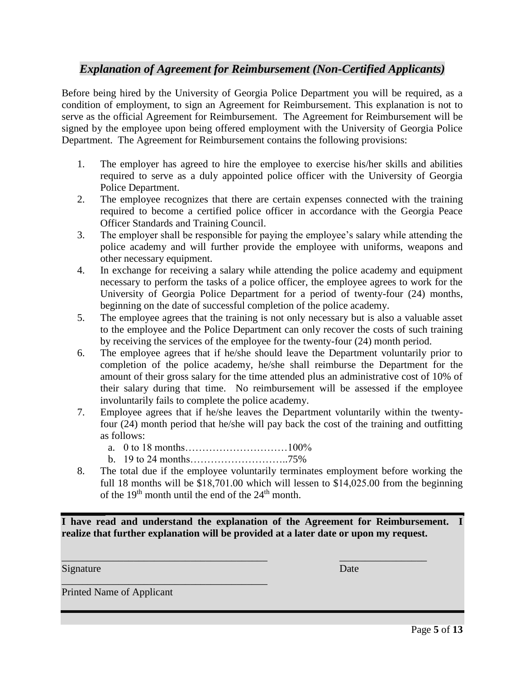# *Explanation of Agreement for Reimbursement (Non-Certified Applicants)*

Before being hired by the University of Georgia Police Department you will be required, as a condition of employment, to sign an Agreement for Reimbursement. This explanation is not to serve as the official Agreement for Reimbursement. The Agreement for Reimbursement will be signed by the employee upon being offered employment with the University of Georgia Police Department. The Agreement for Reimbursement contains the following provisions:

- 1. The employer has agreed to hire the employee to exercise his/her skills and abilities required to serve as a duly appointed police officer with the University of Georgia Police Department.
- 2. The employee recognizes that there are certain expenses connected with the training required to become a certified police officer in accordance with the Georgia Peace Officer Standards and Training Council.
- 3. The employer shall be responsible for paying the employee's salary while attending the police academy and will further provide the employee with uniforms, weapons and other necessary equipment.
- 4. In exchange for receiving a salary while attending the police academy and equipment necessary to perform the tasks of a police officer, the employee agrees to work for the University of Georgia Police Department for a period of twenty-four (24) months, beginning on the date of successful completion of the police academy.
- 5. The employee agrees that the training is not only necessary but is also a valuable asset to the employee and the Police Department can only recover the costs of such training by receiving the services of the employee for the twenty-four (24) month period.
- 6. The employee agrees that if he/she should leave the Department voluntarily prior to completion of the police academy, he/she shall reimburse the Department for the amount of their gross salary for the time attended plus an administrative cost of 10% of their salary during that time. No reimbursement will be assessed if the employee involuntarily fails to complete the police academy.
- 7. Employee agrees that if he/she leaves the Department voluntarily within the twentyfour (24) month period that he/she will pay back the cost of the training and outfitting as follows:
	- a. 0 to 18 months…………………………100%
	- b. 19 to 24 months………………………..75%
- 8. The total due if the employee voluntarily terminates employment before working the full 18 months will be \$18,701.00 which will lessen to \$14,025.00 from the beginning of the  $19<sup>th</sup>$  month until the end of the  $24<sup>th</sup>$  month.

**I have read and understand the explanation of the Agreement for Reimbursement. I realize that further explanation will be provided at a later date or upon my request.**

\_\_\_\_\_\_\_\_\_\_\_\_\_\_\_\_\_\_\_\_\_\_\_\_\_\_\_\_\_\_\_\_\_\_\_\_\_\_\_\_ \_\_\_\_\_\_\_\_\_\_\_\_\_\_\_\_\_

Signature Date Date by the Contract of the Contract of the Date Date Date

Printed Name of Applicant

\_\_\_\_\_\_\_\_\_\_\_\_\_\_\_\_\_\_\_\_\_\_\_\_\_\_\_\_\_\_\_\_\_\_\_\_\_\_\_\_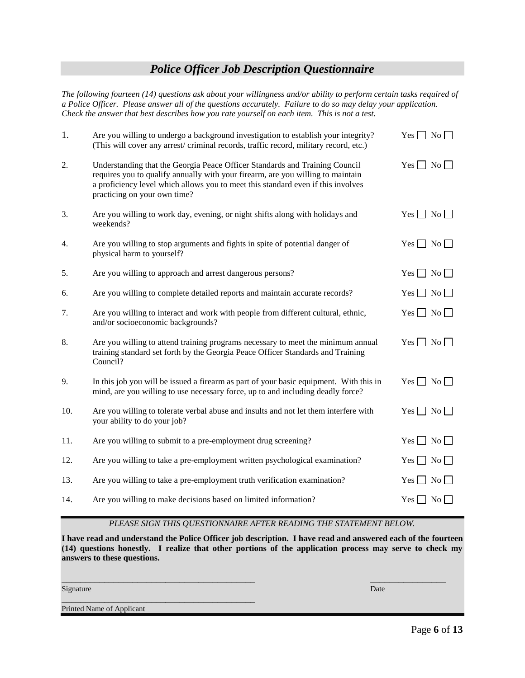## *Police Officer Job Description Questionnaire*

*The following fourteen (14) questions ask about your willingness and/or ability to perform certain tasks required of a Police Officer. Please answer all of the questions accurately. Failure to do so may delay your application. Check the answer that best describes how you rate yourself on each item. This is not a test.* 

| 1.  | Are you willing to undergo a background investigation to establish your integrity?<br>(This will cover any arrest/criminal records, traffic record, military record, etc.)                                                                                                         | $Yes \Box No \Box$               |
|-----|------------------------------------------------------------------------------------------------------------------------------------------------------------------------------------------------------------------------------------------------------------------------------------|----------------------------------|
| 2.  | Understanding that the Georgia Peace Officer Standards and Training Council<br>requires you to qualify annually with your firearm, are you willing to maintain<br>a proficiency level which allows you to meet this standard even if this involves<br>practicing on your own time? | $Yes \Box No \Box$               |
| 3.  | Are you willing to work day, evening, or night shifts along with holidays and<br>weekends?                                                                                                                                                                                         | $Yes \Box No \Box$               |
| 4.  | Are you willing to stop arguments and fights in spite of potential danger of<br>physical harm to yourself?                                                                                                                                                                         | $Yes \Box No \Box$               |
| 5.  | Are you willing to approach and arrest dangerous persons?                                                                                                                                                                                                                          | $Yes \Box No \Box$               |
| 6.  | Are you willing to complete detailed reports and maintain accurate records?                                                                                                                                                                                                        | Yes $\Box$ No $\Box$             |
| 7.  | Are you willing to interact and work with people from different cultural, ethnic,<br>and/or socioeconomic backgrounds?                                                                                                                                                             | $Yes \Box No \Box$               |
| 8.  | Are you willing to attend training programs necessary to meet the minimum annual<br>training standard set forth by the Georgia Peace Officer Standards and Training<br>Council?                                                                                                    | $Yes \Box No \Box$               |
| 9.  | In this job you will be issued a firearm as part of your basic equipment. With this in<br>mind, are you willing to use necessary force, up to and including deadly force?                                                                                                          | Yes $\Box$ No $\Box$             |
| 10. | Are you willing to tolerate verbal abuse and insults and not let them interfere with<br>your ability to do your job?                                                                                                                                                               | Yes $\Box$ No $\Box$             |
| 11. | Are you willing to submit to a pre-employment drug screening?                                                                                                                                                                                                                      | $Yes \Box No \Box$               |
| 12. | Are you willing to take a pre-employment written psychological examination?                                                                                                                                                                                                        | $Yes \Box No \Box$               |
| 13. | Are you willing to take a pre-employment truth verification examination?                                                                                                                                                                                                           | $Yes \mid No \mid$               |
| 14. | Are you willing to make decisions based on limited information?                                                                                                                                                                                                                    | $\overline{N_0}$<br>$Yes$ $\Box$ |

*PLEASE SIGN THIS QUESTIONNAIRE AFTER READING THE STATEMENT BELOW.*

**I have read and understand the Police Officer job description. I have read and answered each of the fourteen (14) questions honestly. I realize that other portions of the application process may serve to check my answers to these questions.**

Signature **Date** Date of *Date Company* and *Date Company* and *Date Company* and Date Date Company and Date Company and Date Company and Date Company and Date Company and Date Company and Date Company and Date Company and

\_\_\_\_\_\_\_\_\_\_\_\_\_\_\_\_\_\_\_\_\_\_\_\_\_\_\_\_\_\_\_\_\_\_\_\_\_\_\_\_\_ \_\_\_\_\_\_\_\_\_\_\_\_\_\_\_\_

Printed Name of Applicant

\_\_\_\_\_\_\_\_\_\_\_\_\_\_\_\_\_\_\_\_\_\_\_\_\_\_\_\_\_\_\_\_\_\_\_\_\_\_\_\_\_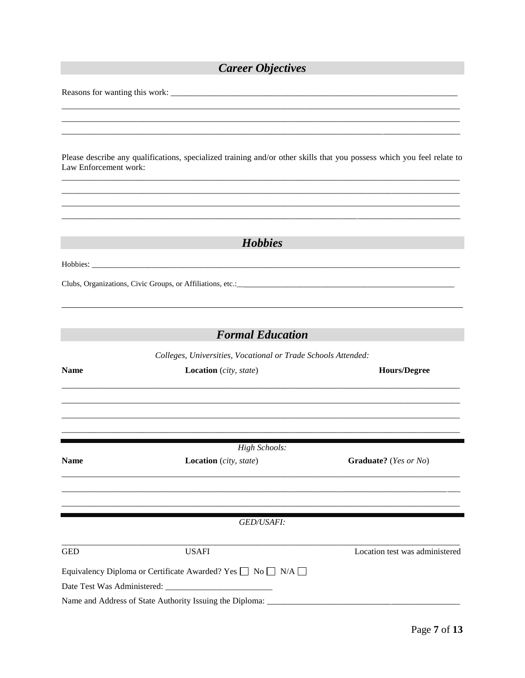# **Career Objectives**

| Please describe any qualifications, specialized training and/or other skills that you possess which you feel relate to |  |  |  |  |  |  |  |
|------------------------------------------------------------------------------------------------------------------------|--|--|--|--|--|--|--|
| Law Enforcement work:                                                                                                  |  |  |  |  |  |  |  |

| Clubs, Organizations, Civic Groups, or Affiliations, etc.: |  |
|------------------------------------------------------------|--|

Hobbies

# **Formal Education**

Colleges, Universities, Vocational or Trade Schools Attended:

| <b>Name</b> | <b>Location</b> (city, state)                                               | <b>Hours/Degree</b>            |
|-------------|-----------------------------------------------------------------------------|--------------------------------|
|             |                                                                             |                                |
|             |                                                                             |                                |
| <b>Name</b> | High Schools:<br><b>Location</b> (city, state)                              | Graduate? (Yes or No)          |
|             |                                                                             |                                |
|             | <b>GED/USAFI:</b>                                                           |                                |
| <b>GED</b>  | <b>USAFI</b>                                                                | Location test was administered |
|             | Equivalency Diploma or Certificate Awarded? Yes $\Box$ No $\Box$ N/A $\Box$ |                                |
|             |                                                                             |                                |
|             | Name and Address of State Authority Issuing the Diploma: ____               |                                |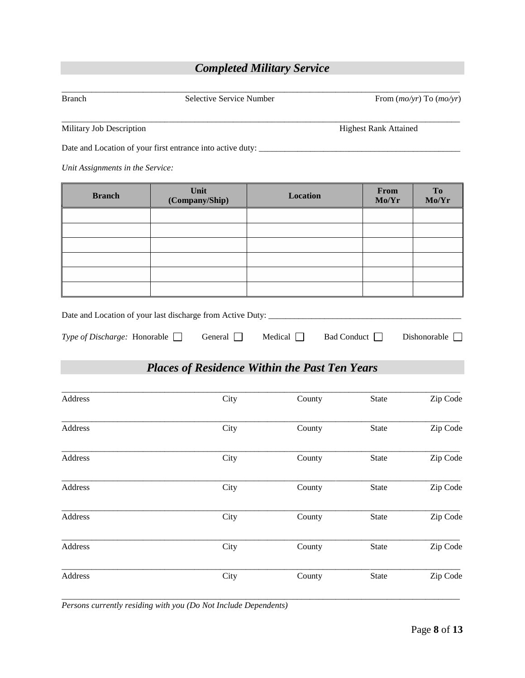# *Completed Military Service*

| <b>Branch</b>                       | Selective Service Number                                             |                                                      |                              | From $(mo/yr)$ To $(mo/yr)$ |
|-------------------------------------|----------------------------------------------------------------------|------------------------------------------------------|------------------------------|-----------------------------|
| Military Job Description            |                                                                      |                                                      | <b>Highest Rank Attained</b> |                             |
|                                     | Date and Location of your first entrance into active duty: _________ |                                                      |                              |                             |
| Unit Assignments in the Service:    |                                                                      |                                                      |                              |                             |
| <b>Branch</b>                       | Unit<br>(Company/Ship)                                               | <b>Location</b>                                      | From<br>Mo/Yr                | <b>To</b><br>Mo/Yr          |
|                                     |                                                                      |                                                      |                              |                             |
|                                     |                                                                      |                                                      |                              |                             |
|                                     |                                                                      |                                                      |                              |                             |
|                                     |                                                                      |                                                      |                              |                             |
|                                     |                                                                      |                                                      |                              |                             |
| Type of Discharge: Honorable $\Box$ | General $\Box$                                                       | Medical $\Box$<br>Bad Conduct                        |                              | Dishonorable                |
|                                     |                                                                      | <b>Places of Residence Within the Past Ten Years</b> |                              |                             |
| Address                             | City                                                                 | County                                               | <b>State</b>                 | Zip Code                    |

| Address | City | County | <b>State</b> | Zip Code |
|---------|------|--------|--------------|----------|
| Address | City | County | State        | Zip Code |
| Address | City | County | State        | Zip Code |
| Address | City | County | State        | Zip Code |
| Address | City | County | State        | Zip Code |
| Address | City | County | State        | Zip Code |

 $\overline{a_1}$  ,  $\overline{a_2}$  ,  $\overline{a_3}$  ,  $\overline{a_4}$  ,  $\overline{a_5}$  ,  $\overline{a_6}$  ,  $\overline{a_7}$  ,  $\overline{a_8}$  ,  $\overline{a_9}$  ,  $\overline{a_9}$  ,  $\overline{a_9}$  ,  $\overline{a_9}$  ,  $\overline{a_9}$  ,  $\overline{a_9}$  ,  $\overline{a_9}$  ,  $\overline{a_9}$  ,  $\overline{a_9}$  ,

*Persons currently residing with you (Do Not Include Dependents)*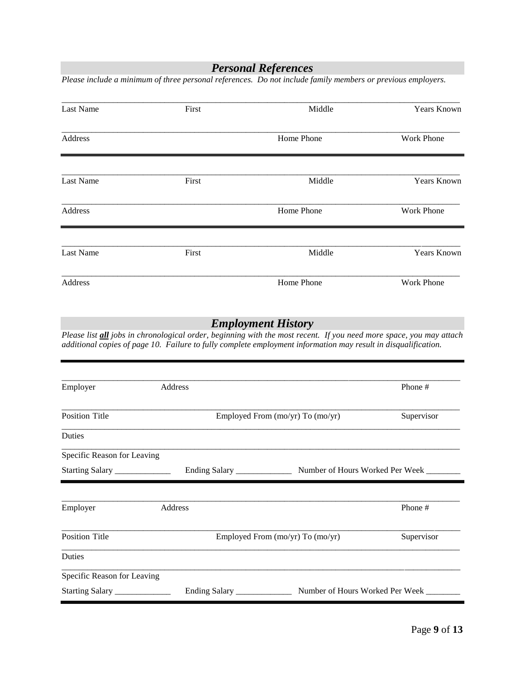*Personal References*

*Please include a minimum of three personal references. Do not include family members or previous employers.*  $\overline{a_1}$  ,  $\overline{a_2}$  ,  $\overline{a_3}$  ,  $\overline{a_4}$  ,  $\overline{a_5}$  ,  $\overline{a_6}$  ,  $\overline{a_7}$  ,  $\overline{a_8}$  ,  $\overline{a_9}$  ,  $\overline{a_9}$  ,  $\overline{a_9}$  ,  $\overline{a_9}$  ,  $\overline{a_9}$  ,  $\overline{a_9}$  ,  $\overline{a_9}$  ,  $\overline{a_9}$  ,  $\overline{a_9}$  , Last Name First First Middle Years Known  $\overline{a_1}$  ,  $\overline{a_2}$  ,  $\overline{a_3}$  ,  $\overline{a_4}$  ,  $\overline{a_5}$  ,  $\overline{a_6}$  ,  $\overline{a_7}$  ,  $\overline{a_8}$  ,  $\overline{a_9}$  ,  $\overline{a_9}$  ,  $\overline{a_9}$  ,  $\overline{a_9}$  ,  $\overline{a_9}$  ,  $\overline{a_9}$  ,  $\overline{a_9}$  ,  $\overline{a_9}$  ,  $\overline{a_9}$  , Address **Home Phone** Work Phone  $\overline{a_1}$  ,  $\overline{a_2}$  ,  $\overline{a_3}$  ,  $\overline{a_4}$  ,  $\overline{a_5}$  ,  $\overline{a_6}$  ,  $\overline{a_7}$  ,  $\overline{a_8}$  ,  $\overline{a_9}$  ,  $\overline{a_9}$  ,  $\overline{a_9}$  ,  $\overline{a_9}$  ,  $\overline{a_9}$  ,  $\overline{a_9}$  ,  $\overline{a_9}$  ,  $\overline{a_9}$  ,  $\overline{a_9}$  , Last Name First Middle Years Known  $\overline{a_1}$  ,  $\overline{a_2}$  ,  $\overline{a_3}$  ,  $\overline{a_4}$  ,  $\overline{a_5}$  ,  $\overline{a_6}$  ,  $\overline{a_7}$  ,  $\overline{a_8}$  ,  $\overline{a_9}$  ,  $\overline{a_9}$  ,  $\overline{a_9}$  ,  $\overline{a_9}$  ,  $\overline{a_9}$  ,  $\overline{a_9}$  ,  $\overline{a_9}$  ,  $\overline{a_9}$  ,  $\overline{a_9}$  , Address **Home Phone** Work Phone \_\_\_\_\_\_\_\_\_\_\_\_\_\_\_\_\_\_\_\_\_\_\_\_\_\_\_\_\_\_\_\_\_\_\_\_\_\_\_\_\_\_\_\_\_\_\_\_\_\_\_\_\_\_\_\_\_\_\_\_\_\_\_\_\_\_\_\_\_\_\_\_\_\_\_\_\_\_\_\_\_\_\_\_\_\_\_\_\_\_\_\_\_ Last Name First First Middle Years Known  $\overline{a_1}$  ,  $\overline{a_2}$  ,  $\overline{a_3}$  ,  $\overline{a_4}$  ,  $\overline{a_5}$  ,  $\overline{a_6}$  ,  $\overline{a_7}$  ,  $\overline{a_8}$  ,  $\overline{a_9}$  ,  $\overline{a_9}$  ,  $\overline{a_9}$  ,  $\overline{a_9}$  ,  $\overline{a_9}$  ,  $\overline{a_9}$  ,  $\overline{a_9}$  ,  $\overline{a_9}$  ,  $\overline{a_9}$  , Address **Home Phone** Work Phone *Employment History Please list all jobs in chronological order, beginning with the most recent. If you need more space, you may attach additional copies of page 10. Failure to fully complete employment information may result in disqualification.*  $\_$  ,  $\_$  ,  $\_$  ,  $\_$  ,  $\_$  ,  $\_$  ,  $\_$  ,  $\_$  ,  $\_$  ,  $\_$  ,  $\_$  ,  $\_$  ,  $\_$  ,  $\_$  ,  $\_$  ,  $\_$  ,  $\_$  ,  $\_$  ,  $\_$  ,  $\_$  ,  $\_$  ,  $\_$  ,  $\_$  ,  $\_$  ,  $\_$  ,  $\_$  ,  $\_$  ,  $\_$  ,  $\_$  ,  $\_$  ,  $\_$  ,  $\_$  ,  $\_$  ,  $\_$  ,  $\_$  ,  $\_$  ,  $\_$  , Employer **Address** Address **Phone #**  $\overline{a_1}$  ,  $\overline{a_2}$  ,  $\overline{a_3}$  ,  $\overline{a_4}$  ,  $\overline{a_5}$  ,  $\overline{a_6}$  ,  $\overline{a_7}$  ,  $\overline{a_8}$  ,  $\overline{a_9}$  ,  $\overline{a_9}$  ,  $\overline{a_9}$  ,  $\overline{a_9}$  ,  $\overline{a_9}$  ,  $\overline{a_9}$  ,  $\overline{a_9}$  ,  $\overline{a_9}$  ,  $\overline{a_9}$  , Position Title Employed From (mo/yr) To (mo/yr) Supervisor \_\_\_\_\_\_\_\_\_\_\_\_\_\_\_\_\_\_\_\_\_\_\_\_\_\_\_\_\_\_\_\_\_\_\_\_\_\_\_\_\_\_\_\_\_\_\_\_\_\_\_\_\_\_\_\_\_\_\_\_\_\_\_\_\_\_\_\_\_\_\_\_\_\_\_\_\_\_\_\_\_\_\_\_\_\_\_\_\_\_\_\_\_ Duties  $\overline{a_1}$  ,  $\overline{a_2}$  ,  $\overline{a_3}$  ,  $\overline{a_4}$  ,  $\overline{a_5}$  ,  $\overline{a_6}$  ,  $\overline{a_7}$  ,  $\overline{a_8}$  ,  $\overline{a_9}$  ,  $\overline{a_9}$  ,  $\overline{a_9}$  ,  $\overline{a_9}$  ,  $\overline{a_9}$  ,  $\overline{a_9}$  ,  $\overline{a_9}$  ,  $\overline{a_9}$  ,  $\overline{a_9}$  , Specific Reason for Leaving Starting Salary \_\_\_\_\_\_\_\_\_\_\_\_\_\_\_\_\_ Ending Salary \_\_\_\_\_\_\_\_\_\_\_\_\_\_\_\_ Number of Hours Worked Per Week \_\_ \_\_\_\_\_\_\_\_\_\_\_\_\_\_\_\_\_\_\_\_\_\_\_\_\_\_\_\_\_\_\_\_\_\_\_\_\_\_\_\_\_\_\_\_\_\_\_\_\_\_\_\_\_\_\_\_\_\_\_\_\_\_\_\_\_\_\_\_\_\_\_\_\_\_\_\_\_\_\_\_\_\_\_\_\_\_\_\_\_\_\_\_\_ Employer **Address** Address **Phone #** \_\_\_\_\_\_\_\_\_\_\_\_\_\_\_\_\_\_\_\_\_\_\_\_\_\_\_\_\_\_\_\_\_\_\_\_\_\_\_\_\_\_\_\_\_\_\_\_\_\_\_\_\_\_\_\_\_\_\_\_\_\_\_\_\_\_\_\_\_\_\_\_\_\_\_\_\_\_\_\_\_\_\_\_\_\_\_\_\_\_\_\_\_ Position Title Employed From (mo/yr) To (mo/yr) Supervisor  $\overline{a_1}$  ,  $\overline{a_2}$  ,  $\overline{a_3}$  ,  $\overline{a_4}$  ,  $\overline{a_5}$  ,  $\overline{a_6}$  ,  $\overline{a_7}$  ,  $\overline{a_8}$  ,  $\overline{a_9}$  ,  $\overline{a_9}$  ,  $\overline{a_9}$  ,  $\overline{a_9}$  ,  $\overline{a_9}$  ,  $\overline{a_9}$  ,  $\overline{a_9}$  ,  $\overline{a_9}$  ,  $\overline{a_9}$  , Duties \_\_\_\_\_\_\_\_\_\_\_\_\_\_\_\_\_\_\_\_\_\_\_\_\_\_\_\_\_\_\_\_\_\_\_\_\_\_\_\_\_\_\_\_\_\_\_\_\_\_\_\_\_\_\_\_\_\_\_\_\_\_\_\_\_\_\_\_\_\_\_\_\_\_\_\_\_\_\_\_\_\_\_\_\_\_\_\_\_\_\_\_\_ Specific Reason for Leaving Starting Salary \_\_\_\_\_\_\_\_\_\_\_\_\_\_\_\_\_\_\_\_\_\_ Ending Salary \_\_\_\_\_\_\_\_\_\_\_\_\_\_\_\_\_\_\_\_\_ Number of Hours Worked Per Week \_\_\_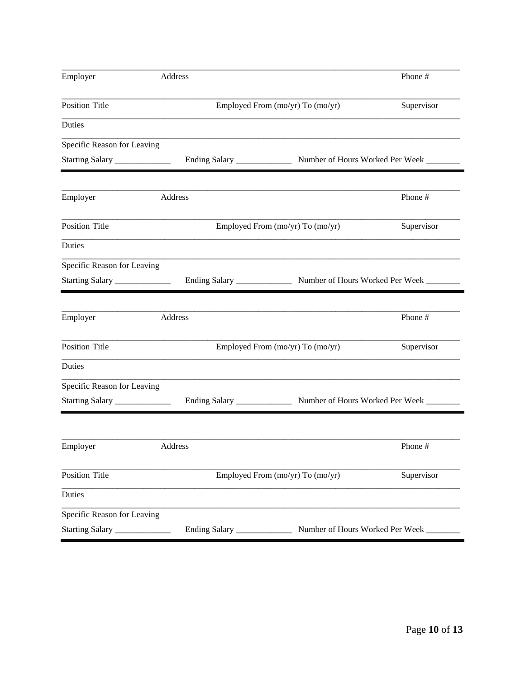| Employer                       | Address                     |                                                                           | Phone #    |
|--------------------------------|-----------------------------|---------------------------------------------------------------------------|------------|
| <b>Position Title</b>          |                             | Employed From (mo/yr) To (mo/yr)                                          | Supervisor |
| Duties                         |                             |                                                                           |            |
| Specific Reason for Leaving    |                             |                                                                           |            |
| Starting Salary ______________ |                             |                                                                           |            |
| Employer                       | Address                     |                                                                           | Phone #    |
| <b>Position Title</b>          |                             | Employed From (mo/yr) To (mo/yr)                                          | Supervisor |
| <b>Duties</b>                  |                             |                                                                           |            |
| Specific Reason for Leaving    |                             |                                                                           |            |
| Starting Salary ______________ |                             |                                                                           |            |
|                                |                             |                                                                           |            |
| Employer                       | Address                     |                                                                           | Phone #    |
| <b>Position Title</b>          |                             | Employed From (mo/yr) To (mo/yr)                                          | Supervisor |
| Duties                         |                             |                                                                           |            |
| Specific Reason for Leaving    |                             |                                                                           |            |
| Starting Salary ______________ |                             | Ending Salary ___________________ Number of Hours Worked Per Week _______ |            |
| Employer                       | Address                     |                                                                           | Phone #    |
|                                |                             |                                                                           |            |
| <b>Position Title</b>          |                             | Employed From (mo/yr) To (mo/yr)                                          | Supervisor |
| Duties                         |                             |                                                                           |            |
| Specific Reason for Leaving    |                             |                                                                           |            |
| Starting Salary                | Ending Salary _____________ | Number of Hours Worked Per Week                                           |            |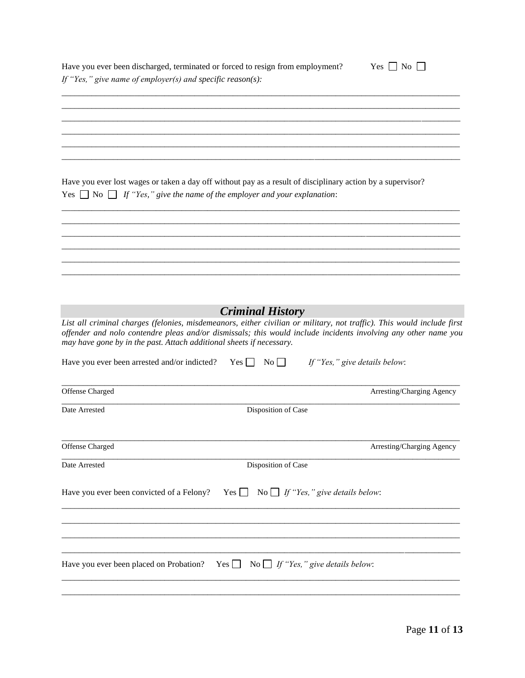|                                                                      | Have you ever been discharged, terminated or forced to resign from employment?                                                                                                                                                           | $Yes \Box No \Box$            |
|----------------------------------------------------------------------|------------------------------------------------------------------------------------------------------------------------------------------------------------------------------------------------------------------------------------------|-------------------------------|
| If "Yes," give name of employer(s) and specific reason(s):           |                                                                                                                                                                                                                                          |                               |
|                                                                      |                                                                                                                                                                                                                                          |                               |
|                                                                      |                                                                                                                                                                                                                                          |                               |
|                                                                      |                                                                                                                                                                                                                                          |                               |
|                                                                      |                                                                                                                                                                                                                                          |                               |
|                                                                      |                                                                                                                                                                                                                                          |                               |
|                                                                      | Have you ever lost wages or taken a day off without pay as a result of disciplinary action by a supervisor?                                                                                                                              |                               |
|                                                                      | Yes $\Box$ No $\Box$ If "Yes," give the name of the employer and your explanation:                                                                                                                                                       |                               |
|                                                                      |                                                                                                                                                                                                                                          |                               |
|                                                                      |                                                                                                                                                                                                                                          |                               |
|                                                                      |                                                                                                                                                                                                                                          |                               |
|                                                                      |                                                                                                                                                                                                                                          |                               |
|                                                                      |                                                                                                                                                                                                                                          |                               |
|                                                                      |                                                                                                                                                                                                                                          |                               |
|                                                                      |                                                                                                                                                                                                                                          |                               |
|                                                                      | <b>Criminal History</b>                                                                                                                                                                                                                  |                               |
|                                                                      | List all criminal charges (felonies, misdemeanors, either civilian or military, not traffic). This would include first<br>offender and nolo contendre pleas and/or dismissals; this would include incidents involving any other name you |                               |
| may have gone by in the past. Attach additional sheets if necessary. |                                                                                                                                                                                                                                          |                               |
| Have you ever been arrested and/or indicted? Yes $\Box$ No $\Box$    |                                                                                                                                                                                                                                          | If "Yes," give details below: |
| Offense Charged                                                      |                                                                                                                                                                                                                                          | Arresting/Charging Agency     |
| Date Arrested                                                        | Disposition of Case                                                                                                                                                                                                                      |                               |
|                                                                      |                                                                                                                                                                                                                                          |                               |
| Offense Charged                                                      |                                                                                                                                                                                                                                          | Arresting/Charging Agency     |
| Date Arrested                                                        | Disposition of Case                                                                                                                                                                                                                      |                               |
|                                                                      |                                                                                                                                                                                                                                          |                               |
| Have you ever been convicted of a Felony?                            | No $\Box$ If "Yes," give details below:<br>$Yes$ $\Box$                                                                                                                                                                                  |                               |
|                                                                      |                                                                                                                                                                                                                                          |                               |
|                                                                      |                                                                                                                                                                                                                                          |                               |
|                                                                      |                                                                                                                                                                                                                                          |                               |
|                                                                      |                                                                                                                                                                                                                                          |                               |
|                                                                      | Have you ever been placed on Probation? Yes $\Box$ No $\Box$ If "Yes," give details below:                                                                                                                                               |                               |
|                                                                      |                                                                                                                                                                                                                                          |                               |
|                                                                      |                                                                                                                                                                                                                                          |                               |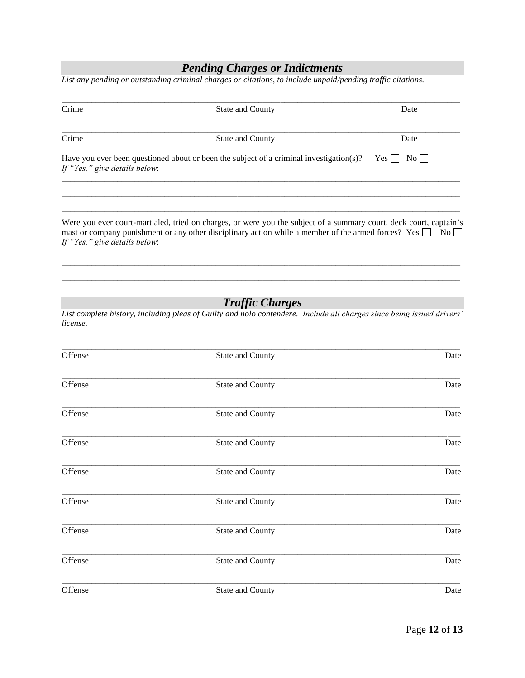### *Pending Charges or Indictments*

*List any pending or outstanding criminal charges or citations, to include unpaid/pending traffic citations.*

| Crime                         | <b>State and County</b>                                                                 | Date                        |
|-------------------------------|-----------------------------------------------------------------------------------------|-----------------------------|
| Crime                         | <b>State and County</b>                                                                 | Date                        |
| If "Yes," give details below: | Have you ever been questioned about or been the subject of a criminal investigation(s)? | $\overline{N_0}$    <br>Yes |
|                               |                                                                                         |                             |

mast or company punishment or any other disciplinary action while a member of the armed forces? Yes  $\Box$  No  $\Box$ *If "Yes," give details below*:

\_\_\_\_\_\_\_\_\_\_\_\_\_\_\_\_\_\_\_\_\_\_\_\_\_\_\_\_\_\_\_\_\_\_\_\_\_\_\_\_\_\_\_\_\_\_\_\_\_\_\_\_\_\_\_\_\_\_\_\_\_\_\_\_\_\_\_\_\_\_\_\_\_\_\_\_\_\_\_\_\_\_\_\_\_\_\_\_\_\_\_\_\_  $\overline{a_1}$  ,  $\overline{a_2}$  ,  $\overline{a_3}$  ,  $\overline{a_4}$  ,  $\overline{a_5}$  ,  $\overline{a_6}$  ,  $\overline{a_7}$  ,  $\overline{a_8}$  ,  $\overline{a_9}$  ,  $\overline{a_9}$  ,  $\overline{a_9}$  ,  $\overline{a_9}$  ,  $\overline{a_9}$  ,  $\overline{a_9}$  ,  $\overline{a_9}$  ,  $\overline{a_9}$  ,  $\overline{a_9}$  ,

# *Traffic Charges*

*List complete history, including pleas of Guilty and nolo contendere. Include all charges since being issued drivers' license.*

| Offense | State and County | Date |
|---------|------------------|------|
| Offense | State and County | Date |
| Offense | State and County | Date |
| Offense | State and County | Date |
| Offense | State and County | Date |
| Offense | State and County | Date |
| Offense | State and County | Date |
| Offense | State and County | Date |
| Offense | State and County | Date |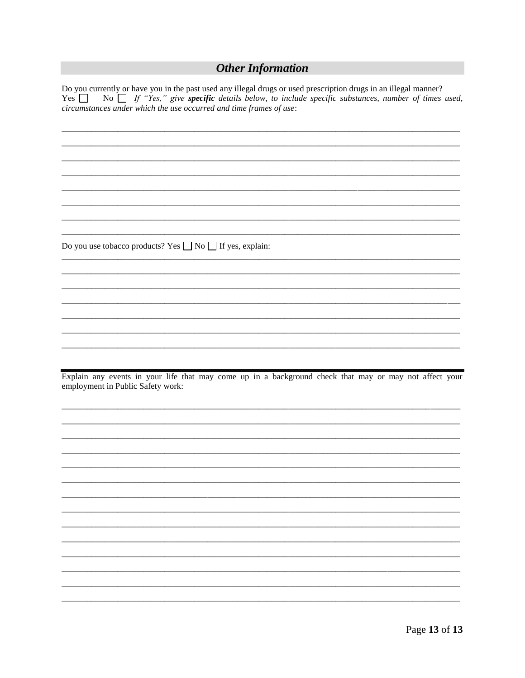# **Other Information**

Do you currently or have you in the past used any illegal drugs or used prescription drugs in an illegal manner? Yes  $\Box$ No  $\Box$  If "Yes," give specific details below, to include specific substances, number of times used, circumstances under which the use occurred and time frames of use:

Do you use tobacco products? Yes  $\Box$  No  $\Box$  If yes, explain:

Explain any events in your life that may come up in a background check that may or may not affect your employment in Public Safety work: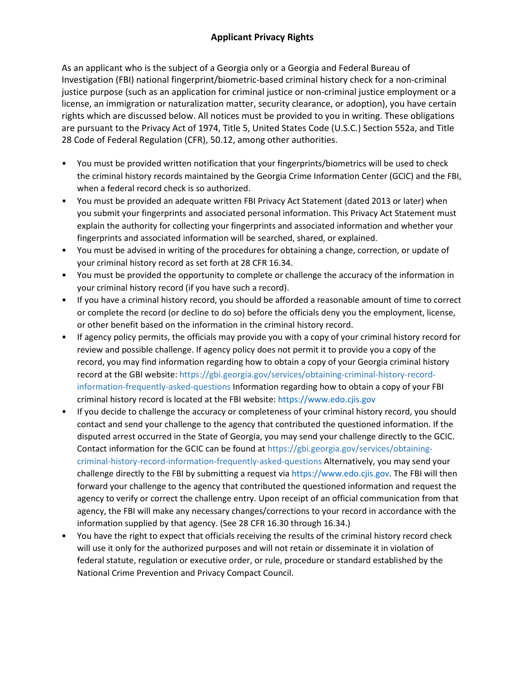As an applicant who is the subject of a Georgia only or a Georgia and Federal Bureau of Investigation (FBI) national fingerprint/biometric-based criminal history check for a non-criminal justice purpose (such as an application for criminal justice or non-criminal justice employment or a license, an immigration or naturalization matter, security clearance, or adoption), you have certain rights which are discussed below. All notices must be provided to you in writing. These obligations are pursuant to the Privacy Act of 1974, Title 5, United States Code (U.S.C.) Section 552a, and Title 28 Code of Federal Regulation (CFR), 50.12, among other authorities.

- You must be provided written notification that your fingerprints/biometrics will be used to check the criminal history records maintained by the Georgia Crime Information Center (GCIC) and the FBI, when a federal record check is so authorized.
- You must be provided an adequate written FBI Privacy Act Statement (dated 2013 or later) when you submit your fingerprints and associated personal information. This Privacy Act Statement must explain the authority for collecting your fingerprints and associated information and whether your fingerprints and associated information will be searched, shared, or explained.
- You must be advised in writing of the procedures for obtaining a change, correction, or update of your criminal history record as set forth at 28 CFR 16.34.
- You must be provided the opportunity to complete or challenge the accuracy of the information in your criminal history record (if you have such a record).
- If you have a criminal history record, you should be afforded a reasonable amount of time to correct or complete the record (or decline to do so) before the officials deny you the employment, license, or other benefit based on the information in the criminal history record.
- If agency policy permits, the officials may provide you with a copy of your criminal history record for review and possible challenge. If agency policy does not permit it to provide you a copy of the record, you may find information regarding how to obtain a copy of your Georgia criminal history record at the GBI website: https://gbi.georgia.gov/services/obtaining-criminal-history-recordinformation-frequently-asked-questions Information regarding how to obtain a copy of your FBI criminal history record is located at the FBI website: https://www.edo.cjis.gov
- If you decide to challenge the accuracy or completeness of your criminal history record, you should contact and send your challenge to the agency that contributed the questioned information. If the disputed arrest occurred in the State of Georgia, you may send your challenge directly to the GCIC. Contact information for the GCIC can be found at https://gbi.georgia.gov/services/obtainingcriminal-history-record-information-frequently-asked-questions Alternatively, you may send your challenge directly to the FBI by submitting a request via https://www.edo.cjis.gov. The FBI will then forward your challenge to the agency that contributed the questioned information and request the agency to verify or correct the challenge entry. Upon receipt of an official communication from that agency, the FBI will make any necessary changes/corrections to your record in accordance with the information supplied by that agency. (See 28 CFR 16.30 through 16.34.)
- You have the right to expect that officials receiving the results of the criminal history record check will use it only for the authorized purposes and will not retain or disseminate it in violation of federal statute, regulation or executive order, or rule, procedure or standard established by the National Crime Prevention and Privacy Compact Council.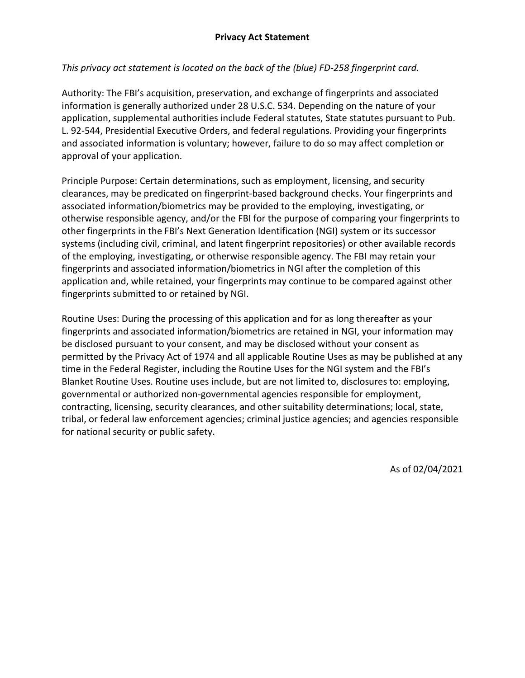# *This privacy act statement is located on the back of the (blue) FD-258 fingerprint card.*

Authority: The FBI's acquisition, preservation, and exchange of fingerprints and associated information is generally authorized under 28 U.S.C. 534. Depending on the nature of your application, supplemental authorities include Federal statutes, State statutes pursuant to Pub. L. 92-544, Presidential Executive Orders, and federal regulations. Providing your fingerprints and associated information is voluntary; however, failure to do so may affect completion or approval of your application.

Principle Purpose: Certain determinations, such as employment, licensing, and security clearances, may be predicated on fingerprint-based background checks. Your fingerprints and associated information/biometrics may be provided to the employing, investigating, or otherwise responsible agency, and/or the FBI for the purpose of comparing your fingerprints to other fingerprints in the FBI's Next Generation Identification (NGI) system or its successor systems (including civil, criminal, and latent fingerprint repositories) or other available records of the employing, investigating, or otherwise responsible agency. The FBI may retain your fingerprints and associated information/biometrics in NGI after the completion of this application and, while retained, your fingerprints may continue to be compared against other fingerprints submitted to or retained by NGI.

Routine Uses: During the processing of this application and for as long thereafter as your fingerprints and associated information/biometrics are retained in NGI, your information may be disclosed pursuant to your consent, and may be disclosed without your consent as permitted by the Privacy Act of 1974 and all applicable Routine Uses as may be published at any time in the Federal Register, including the Routine Uses for the NGI system and the FBI's Blanket Routine Uses. Routine uses include, but are not limited to, disclosures to: employing, governmental or authorized non-governmental agencies responsible for employment, contracting, licensing, security clearances, and other suitability determinations; local, state, tribal, or federal law enforcement agencies; criminal justice agencies; and agencies responsible for national security or public safety.

As of 02/04/2021